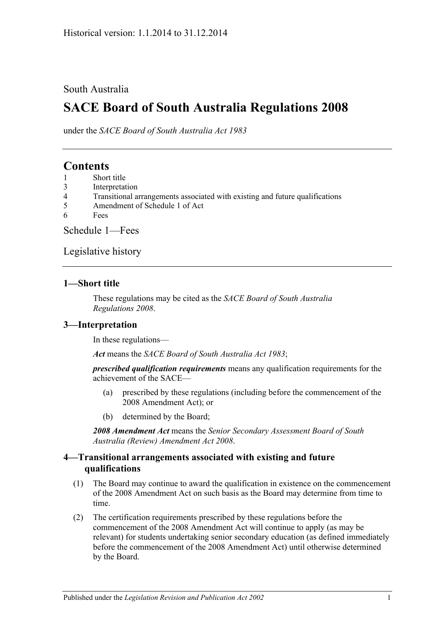#### South Australia

# **SACE Board of South Australia Regulations 2008**

under the *SACE Board of South Australia Act 1983*

# **Contents**

- 1 [Short title](#page-0-0)
- 3 [Interpretation](#page-0-1)
- 4 [Transitional arrangements associated with existing and future qualifications](#page-0-2)
- 5 [Amendment of Schedule 1 of Act](#page-1-0)
- 6 [Fees](#page-1-1)

[Schedule](#page-1-2) 1—Fees

[Legislative history](#page-3-0)

#### <span id="page-0-0"></span>**1—Short title**

These regulations may be cited as the *SACE Board of South Australia Regulations 2008*.

#### <span id="page-0-1"></span>**3—Interpretation**

In these regulations—

*Act* means the *[SACE Board of South Australia Act](http://www.legislation.sa.gov.au/index.aspx?action=legref&type=act&legtitle=SACE%20Board%20of%20South%20Australia%20Act%201983) 1983*;

*prescribed qualification requirements* means any qualification requirements for the achievement of the SACE—

- (a) prescribed by these regulations (including before the commencement of the 2008 Amendment Act); or
- (b) determined by the Board;

*2008 Amendment Act* means the *[Senior Secondary Assessment Board of South](http://www.legislation.sa.gov.au/index.aspx?action=legref&type=act&legtitle=Senior%20Secondary%20Assessment%20Board%20of%20South%20Australia%20(Review)%20Amendment%20Act%202008)  [Australia \(Review\) Amendment Act](http://www.legislation.sa.gov.au/index.aspx?action=legref&type=act&legtitle=Senior%20Secondary%20Assessment%20Board%20of%20South%20Australia%20(Review)%20Amendment%20Act%202008) 2008*.

#### <span id="page-0-2"></span>**4—Transitional arrangements associated with existing and future qualifications**

- (1) The Board may continue to award the qualification in existence on the commencement of the 2008 Amendment Act on such basis as the Board may determine from time to time.
- (2) The certification requirements prescribed by these regulations before the commencement of the 2008 Amendment Act will continue to apply (as may be relevant) for students undertaking senior secondary education (as defined immediately before the commencement of the 2008 Amendment Act) until otherwise determined by the Board.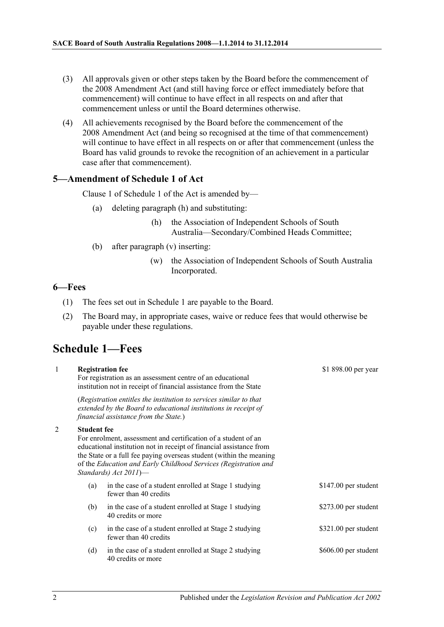- (3) All approvals given or other steps taken by the Board before the commencement of the 2008 Amendment Act (and still having force or effect immediately before that commencement) will continue to have effect in all respects on and after that commencement unless or until the Board determines otherwise.
- (4) All achievements recognised by the Board before the commencement of the 2008 Amendment Act (and being so recognised at the time of that commencement) will continue to have effect in all respects on or after that commencement (unless the Board has valid grounds to revoke the recognition of an achievement in a particular case after that commencement).

#### <span id="page-1-0"></span>**5—Amendment of Schedule 1 of Act**

Clause 1 of Schedule 1 of the Act is amended by—

- (a) deleting paragraph (h) and substituting:
	- (h) the Association of Independent Schools of South Australia—Secondary/Combined Heads Committee;
- (b) after paragraph (v) inserting:
	- (w) the Association of Independent Schools of South Australia Incorporated.

 $*1 000 00$ 

#### <span id="page-1-1"></span>**6—Fees**

- (1) The fees set out in Schedule 1 are payable to the Board.
- (2) The Board may, in appropriate cases, waive or reduce fees that would otherwise be payable under these regulations.

# <span id="page-1-2"></span>**Schedule 1—Fees**

1 **Registration fee**

| $\mathbf{I}$ |                    | Registration fee<br>For registration as an assessment centre of an educational<br>institution not in receipt of financial assistance from the State                                                                                                                                                      | $$1898.00$ per year  |
|--------------|--------------------|----------------------------------------------------------------------------------------------------------------------------------------------------------------------------------------------------------------------------------------------------------------------------------------------------------|----------------------|
|              |                    | (Registration entitles the institution to services similar to that<br>extended by the Board to educational institutions in receipt of<br>financial assistance from the State.)                                                                                                                           |                      |
| 2            | <b>Student fee</b> | For enrolment, assessment and certification of a student of an<br>educational institution not in receipt of financial assistance from<br>the State or a full fee paying overseas student (within the meaning<br>of the Education and Early Childhood Services (Registration and<br>Standards) Act 2011)- |                      |
|              | (a)                | in the case of a student enrolled at Stage 1 studying<br>fewer than 40 credits                                                                                                                                                                                                                           | \$147.00 per student |
|              | (b)                | in the case of a student enrolled at Stage 1 studying<br>40 credits or more                                                                                                                                                                                                                              | \$273.00 per student |
|              | (c)                | in the case of a student enrolled at Stage 2 studying<br>fewer than 40 credits                                                                                                                                                                                                                           | \$321.00 per student |
|              | (d)                | in the case of a student enrolled at Stage 2 studying<br>40 credits or more                                                                                                                                                                                                                              | \$606.00 per student |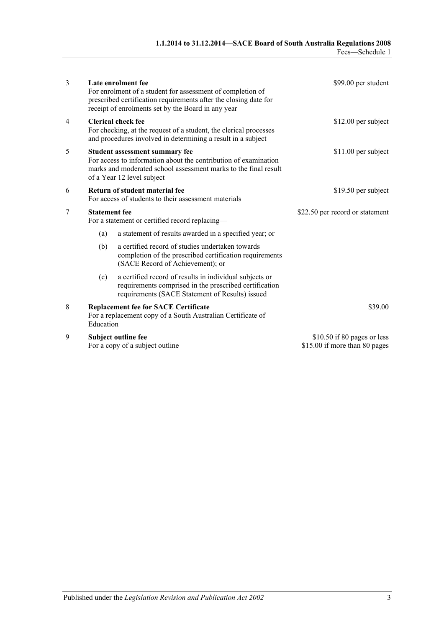| 3 |                                                                                                                                                                                                    | Late enrolment fee<br>For enrolment of a student for assessment of completion of<br>prescribed certification requirements after the closing date for<br>receipt of enrolments set by the Board in any year | \$99.00 per student                                           |
|---|----------------------------------------------------------------------------------------------------------------------------------------------------------------------------------------------------|------------------------------------------------------------------------------------------------------------------------------------------------------------------------------------------------------------|---------------------------------------------------------------|
| 4 | <b>Clerical check fee</b><br>For checking, at the request of a student, the clerical processes<br>and procedures involved in determining a result in a subject                                     |                                                                                                                                                                                                            | $$12.00$ per subject                                          |
| 5 | Student assessment summary fee<br>For access to information about the contribution of examination<br>marks and moderated school assessment marks to the final result<br>of a Year 12 level subject |                                                                                                                                                                                                            | \$11.00 per subject                                           |
| 6 | Return of student material fee<br>For access of students to their assessment materials                                                                                                             |                                                                                                                                                                                                            | \$19.50 per subject                                           |
| 7 | <b>Statement</b> fee<br>For a statement or certified record replacing-                                                                                                                             |                                                                                                                                                                                                            | \$22.50 per record or statement                               |
|   | (a)                                                                                                                                                                                                | a statement of results awarded in a specified year; or                                                                                                                                                     |                                                               |
|   | (b)                                                                                                                                                                                                | a certified record of studies undertaken towards<br>completion of the prescribed certification requirements<br>(SACE Record of Achievement); or                                                            |                                                               |
|   | (c)                                                                                                                                                                                                | a certified record of results in individual subjects or<br>requirements comprised in the prescribed certification<br>requirements (SACE Statement of Results) issued                                       |                                                               |
| 8 | <b>Replacement fee for SACE Certificate</b><br>For a replacement copy of a South Australian Certificate of<br>Education                                                                            |                                                                                                                                                                                                            | \$39.00                                                       |
| 9 |                                                                                                                                                                                                    | Subject outline fee<br>For a copy of a subject outline                                                                                                                                                     | $$10.50$ if 80 pages or less<br>\$15.00 if more than 80 pages |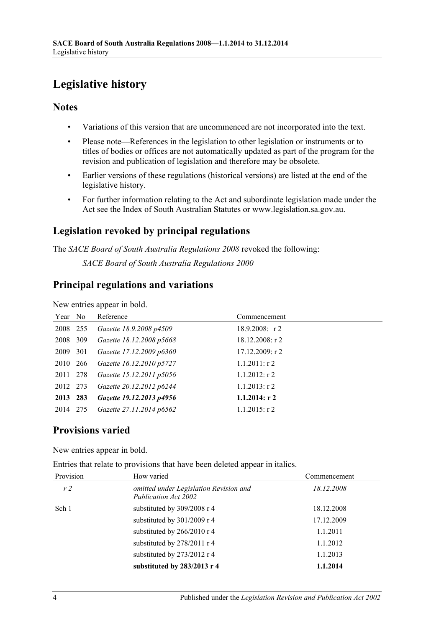# <span id="page-3-0"></span>**Legislative history**

### **Notes**

- Variations of this version that are uncommenced are not incorporated into the text.
- Please note—References in the legislation to other legislation or instruments or to titles of bodies or offices are not automatically updated as part of the program for the revision and publication of legislation and therefore may be obsolete.
- Earlier versions of these regulations (historical versions) are listed at the end of the legislative history.
- For further information relating to the Act and subordinate legislation made under the Act see the Index of South Australian Statutes or www.legislation.sa.gov.au.

# **Legislation revoked by principal regulations**

The *SACE Board of South Australia Regulations 2008* revoked the following:

*SACE Board of South Australia Regulations 2000*

### **Principal regulations and variations**

New entries appear in bold.

| Year No  |     | Reference                | Commencement      |
|----------|-----|--------------------------|-------------------|
| 2008 255 |     | Gazette 18.9.2008 p4509  | $18.9.2008$ : r 2 |
| 2008     | 309 | Gazette 18.12.2008 p5668 | $18.12.2008:$ r 2 |
| 2009 301 |     | Gazette 17.12.2009 p6360 | 17.12.2009: r2    |
| 2010 266 |     | Gazette 16.12.2010 p5727 | $1.1.2011:$ r 2   |
| 2011 278 |     | Gazette 15.12.2011 p5056 | $1.1.2012$ : r 2  |
| 2012 273 |     | Gazette 20.12.2012 p6244 | $1.1.2013$ : r 2  |
| 2013 283 |     | Gazette 19.12.2013 p4956 | $1.1.2014$ : r 2  |
| 2014 275 |     | Gazette 27.11.2014 p6562 | $1.1.2015$ : r 2  |

# **Provisions varied**

New entries appear in bold.

Entries that relate to provisions that have been deleted appear in italics.

| Provision      | How varied                                                     | Commencement |
|----------------|----------------------------------------------------------------|--------------|
| r <sub>2</sub> | omitted under Legislation Revision and<br>Publication Act 2002 | 18.12.2008   |
| Sch 1          | substituted by 309/2008 r 4                                    | 18.12.2008   |
|                | substituted by 301/2009 r 4                                    | 17.12.2009   |
|                | substituted by 266/2010 r 4                                    | 1.1.2011     |
|                | substituted by 278/2011 r 4                                    | 1.1.2012     |
|                | substituted by 273/2012 r 4                                    | 1.1.2013     |
|                | substituted by 283/2013 r 4                                    | 1.1.2014     |